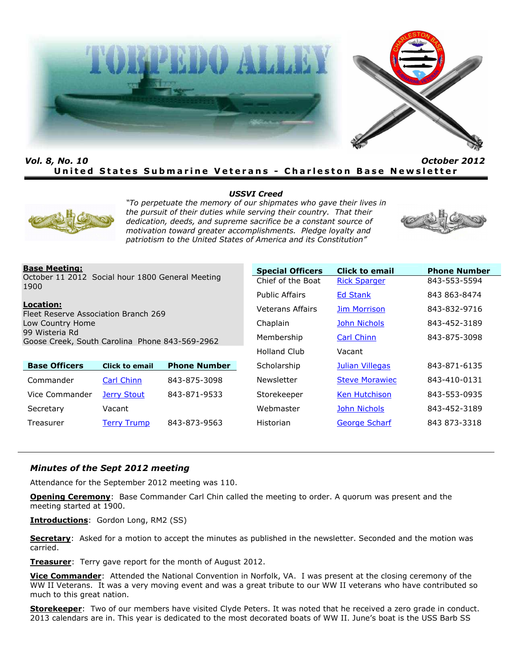

#### *Vol. 8, No. 10 October 2012* **United States Submarine Veterans - Charleston Base Newsletter**

#### *USSVI Creed*



*"To perpetuate the memory of our shipmates who gave their lives in the pursuit of their duties while serving their country. That their dedication, deeds, and supreme sacrifice be a constant source of motivation toward greater accomplishments. Pledge loyalty and patriotism to the United States of America and its Constitution"*



Historian [George Scharf](mailto:schgeo@bellsouth.net) 843 873-3318

| <b>Base Meeting:</b>                                                                                                                      |                       |                     | <b>Special Officers</b> | <b>Click to email</b> | <b>Phone Number</b> |  |
|-------------------------------------------------------------------------------------------------------------------------------------------|-----------------------|---------------------|-------------------------|-----------------------|---------------------|--|
| October 11 2012 Social hour 1800 General Meeting<br>1900                                                                                  |                       |                     | Chief of the Boat       | <b>Rick Sparger</b>   | 843-553-5594        |  |
|                                                                                                                                           |                       |                     | <b>Public Affairs</b>   | <b>Ed Stank</b>       | 843 863-8474        |  |
| Location:<br>Fleet Reserve Association Branch 269<br>Low Country Home<br>99 Wisteria Rd<br>Goose Creek, South Carolina Phone 843-569-2962 |                       |                     | <b>Veterans Affairs</b> | <b>Jim Morrison</b>   | 843-832-9716        |  |
|                                                                                                                                           |                       |                     | Chaplain                | John Nichols          | 843-452-3189        |  |
|                                                                                                                                           |                       |                     | Membership              | <b>Carl Chinn</b>     | 843-875-3098        |  |
|                                                                                                                                           |                       | Holland Club        | Vacant                  |                       |                     |  |
| <b>Base Officers</b>                                                                                                                      | <b>Click to email</b> | <b>Phone Number</b> | Scholarship             | Julian Villegas       | 843-871-6135        |  |
| Commander                                                                                                                                 | <b>Carl Chinn</b>     | 843-875-3098        | Newsletter              | <b>Steve Morawiec</b> | 843-410-0131        |  |
| Vice Commander                                                                                                                            | <b>Jerry Stout</b>    | 843-871-9533        | Storekeeper             | <b>Ken Hutchison</b>  | 843-553-0935        |  |
| Secretary                                                                                                                                 | Vacant                |                     | Webmaster               | <b>John Nichols</b>   | 843-452-3189        |  |

#### *Minutes of the Sept 2012 meeting*

Attendance for the September 2012 meeting was 110.

Treasurer [Terry Trump](mailto:ss425@hotmail.com) 843-873-9563

**Opening Ceremony**: Base Commander Carl Chin called the meeting to order. A quorum was present and the meeting started at 1900.

**Introductions**: Gordon Long, RM2 (SS)

**Secretary**: Asked for a motion to accept the minutes as published in the newsletter. Seconded and the motion was carried.

**Treasurer**: Terry gave report for the month of August 2012.

**Vice Commander**: Attended the National Convention in Norfolk, VA. I was present at the closing ceremony of the WW II Veterans. It was a very moving event and was a great tribute to our WW II veterans who have contributed so much to this great nation.

**Storekeeper**: Two of our members have visited Clyde Peters. It was noted that he received a zero grade in conduct. 2013 calendars are in. This year is dedicated to the most decorated boats of WW II. June's boat is the USS Barb SS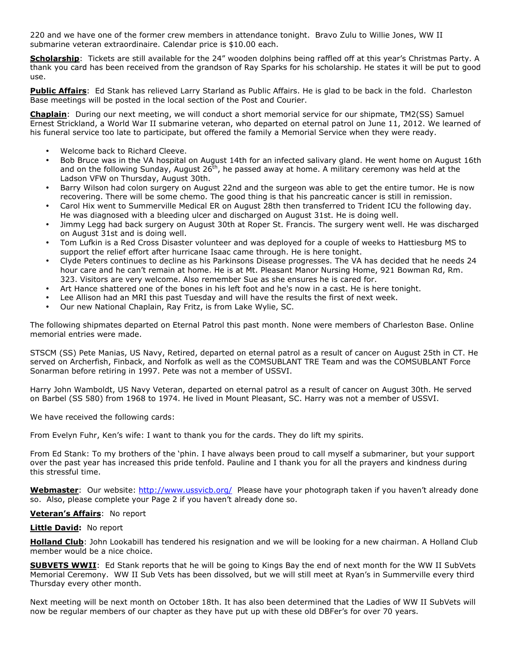220 and we have one of the former crew members in attendance tonight. Bravo Zulu to Willie Jones, WW II submarine veteran extraordinaire. Calendar price is \$10.00 each.

**Scholarship**: Tickets are still available for the 24" wooden dolphins being raffled off at this year's Christmas Party. A thank you card has been received from the grandson of Ray Sparks for his scholarship. He states it will be put to good use.

**Public Affairs**: Ed Stank has relieved Larry Starland as Public Affairs. He is glad to be back in the fold. Charleston Base meetings will be posted in the local section of the Post and Courier.

**Chaplain**: During our next meeting, we will conduct a short memorial service for our shipmate, TM2(SS) Samuel Ernest Strickland, a World War II submarine veteran, who departed on eternal patrol on June 11, 2012. We learned of his funeral service too late to participate, but offered the family a Memorial Service when they were ready.

- Welcome back to Richard Cleeve.
- Bob Bruce was in the VA hospital on August 14th for an infected salivary gland. He went home on August 16th and on the following Sunday, August  $26<sup>th</sup>$ , he passed away at home. A military ceremony was held at the Ladson VFW on Thursday, August 30th.
- Barry Wilson had colon surgery on August 22nd and the surgeon was able to get the entire tumor. He is now recovering. There will be some chemo. The good thing is that his pancreatic cancer is still in remission.
- Carol Hix went to Summerville Medical ER on August 28th then transferred to Trident ICU the following day. He was diagnosed with a bleeding ulcer and discharged on August 31st. He is doing well.
- Jimmy Legg had back surgery on August 30th at Roper St. Francis. The surgery went well. He was discharged on August 31st and is doing well.
- Tom Lufkin is a Red Cross Disaster volunteer and was deployed for a couple of weeks to Hattiesburg MS to support the relief effort after hurricane Isaac came through. He is here tonight.
- Clyde Peters continues to decline as his Parkinsons Disease progresses. The VA has decided that he needs 24 hour care and he can't remain at home. He is at Mt. Pleasant Manor Nursing Home, 921 Bowman Rd, Rm. 323. Visitors are very welcome. Also remember Sue as she ensures he is cared for.
- Art Hance shattered one of the bones in his left foot and he's now in a cast. He is here tonight.
- Lee Allison had an MRI this past Tuesday and will have the results the first of next week.
- Our new National Chaplain, Ray Fritz, is from Lake Wylie, SC.

The following shipmates departed on Eternal Patrol this past month. None were members of Charleston Base. Online memorial entries were made.

STSCM (SS) Pete Manias, US Navy, Retired, departed on eternal patrol as a result of cancer on August 25th in CT. He served on Archerfish, Finback, and Norfolk as well as the COMSUBLANT TRE Team and was the COMSUBLANT Force Sonarman before retiring in 1997. Pete was not a member of USSVI.

Harry John Wamboldt, US Navy Veteran, departed on eternal patrol as a result of cancer on August 30th. He served on Barbel (SS 580) from 1968 to 1974. He lived in Mount Pleasant, SC. Harry was not a member of USSVI.

We have received the following cards:

From Evelyn Fuhr, Ken's wife: I want to thank you for the cards. They do lift my spirits.

From Ed Stank: To my brothers of the 'phin. I have always been proud to call myself a submariner, but your support over the past year has increased this pride tenfold. Pauline and I thank you for all the prayers and kindness during this stressful time.

Webmaster: Our website: <http://www.ussvicb.org/>Please have your photograph taken if you haven't already done so. Also, please complete your Page 2 if you haven't already done so.

#### **Veteran's Affairs**: No report

#### **Little David:** No report

**Holland Club**: John Lookabill has tendered his resignation and we will be looking for a new chairman. A Holland Club member would be a nice choice.

**SUBVETS WWII**: Ed Stank reports that he will be going to Kings Bay the end of next month for the WW II SubVets Memorial Ceremony. WW II Sub Vets has been dissolved, but we will still meet at Ryan's in Summerville every third Thursday every other month.

Next meeting will be next month on October 18th. It has also been determined that the Ladies of WW II SubVets will now be regular members of our chapter as they have put up with these old DBFer's for over 70 years.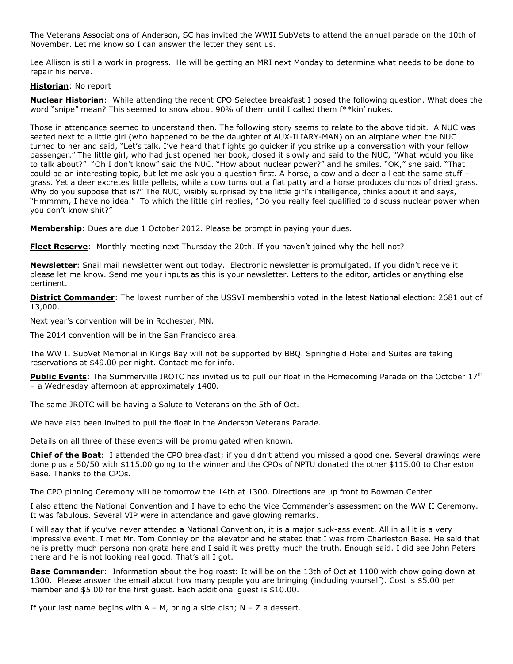The Veterans Associations of Anderson, SC has invited the WWII SubVets to attend the annual parade on the 10th of November. Let me know so I can answer the letter they sent us.

Lee Allison is still a work in progress. He will be getting an MRI next Monday to determine what needs to be done to repair his nerve.

#### **Historian**: No report

**Nuclear Historian**: While attending the recent CPO Selectee breakfast I posed the following question. What does the word "snipe" mean? This seemed to snow about 90% of them until I called them f\*\*kin' nukes.

Those in attendance seemed to understand then. The following story seems to relate to the above tidbit. A NUC was seated next to a little girl (who happened to be the daughter of AUX-ILIARY-MAN) on an airplane when the NUC turned to her and said, "Let's talk. I've heard that flights go quicker if you strike up a conversation with your fellow passenger." The little girl, who had just opened her book, closed it slowly and said to the NUC, "What would you like to talk about?" "Oh I don't know" said the NUC. "How about nuclear power?" and he smiles. "OK," she said. "That could be an interesting topic, but let me ask you a question first. A horse, a cow and a deer all eat the same stuff – grass. Yet a deer excretes little pellets, while a cow turns out a flat patty and a horse produces clumps of dried grass. Why do you suppose that is?" The NUC, visibly surprised by the little girl's intelligence, thinks about it and says, "Hmmmm, I have no idea." To which the little girl replies, "Do you really feel qualified to discuss nuclear power when you don't know shit?"

**Membership**: Dues are due 1 October 2012. Please be prompt in paying your dues.

**Fleet Reserve**: Monthly meeting next Thursday the 20th. If you haven't joined why the hell not?

**Newsletter**: Snail mail newsletter went out today. Electronic newsletter is promulgated. If you didn't receive it please let me know. Send me your inputs as this is your newsletter. Letters to the editor, articles or anything else pertinent.

**District Commander**: The lowest number of the USSVI membership voted in the latest National election: 2681 out of 13,000.

Next year's convention will be in Rochester, MN.

The 2014 convention will be in the San Francisco area.

The WW II SubVet Memorial in Kings Bay will not be supported by BBQ. Springfield Hotel and Suites are taking reservations at \$49.00 per night. Contact me for info.

**Public Events**: The Summerville JROTC has invited us to pull our float in the Homecoming Parade on the October 17<sup>th</sup> – a Wednesday afternoon at approximately 1400.

The same JROTC will be having a Salute to Veterans on the 5th of Oct.

We have also been invited to pull the float in the Anderson Veterans Parade.

Details on all three of these events will be promulgated when known.

**Chief of the Boat**: I attended the CPO breakfast; if you didn't attend you missed a good one. Several drawings were done plus a 50/50 with \$115.00 going to the winner and the CPOs of NPTU donated the other \$115.00 to Charleston Base. Thanks to the CPOs.

The CPO pinning Ceremony will be tomorrow the 14th at 1300. Directions are up front to Bowman Center.

I also attend the National Convention and I have to echo the Vice Commander's assessment on the WW II Ceremony. It was fabulous. Several VIP were in attendance and gave glowing remarks.

I will say that if you've never attended a National Convention, it is a major suck-ass event. All in all it is a very impressive event. I met Mr. Tom Connley on the elevator and he stated that I was from Charleston Base. He said that he is pretty much persona non grata here and I said it was pretty much the truth. Enough said. I did see John Peters there and he is not looking real good. That's all I got.

**Base Commander**: Information about the hog roast: It will be on the 13th of Oct at 1100 with chow going down at 1300. Please answer the email about how many people you are bringing (including yourself). Cost is \$5.00 per member and \$5.00 for the first guest. Each additional guest is \$10.00.

If your last name begins with  $A - M$ , bring a side dish;  $N - Z$  a dessert.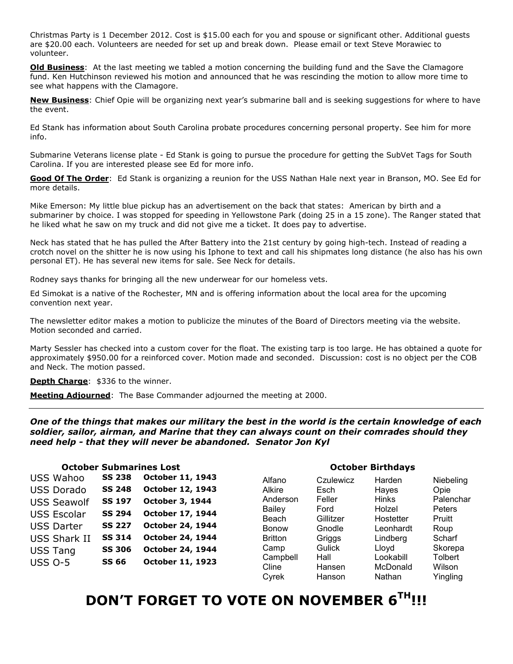Christmas Party is 1 December 2012. Cost is \$15.00 each for you and spouse or significant other. Additional guests are \$20.00 each. Volunteers are needed for set up and break down. Please email or text Steve Morawiec to volunteer.

**Old Business**: At the last meeting we tabled a motion concerning the building fund and the Save the Clamagore fund. Ken Hutchinson reviewed his motion and announced that he was rescinding the motion to allow more time to see what happens with the Clamagore.

**New Business**: Chief Opie will be organizing next year's submarine ball and is seeking suggestions for where to have the event.

Ed Stank has information about South Carolina probate procedures concerning personal property. See him for more info.

Submarine Veterans license plate - Ed Stank is going to pursue the procedure for getting the SubVet Tags for South Carolina. If you are interested please see Ed for more info.

**Good Of The Order**: Ed Stank is organizing a reunion for the USS Nathan Hale next year in Branson, MO. See Ed for more details.

Mike Emerson: My little blue pickup has an advertisement on the back that states: American by birth and a submariner by choice. I was stopped for speeding in Yellowstone Park (doing 25 in a 15 zone). The Ranger stated that he liked what he saw on my truck and did not give me a ticket. It does pay to advertise.

Neck has stated that he has pulled the After Battery into the 21st century by going high-tech. Instead of reading a crotch novel on the shitter he is now using his Iphone to text and call his shipmates long distance (he also has his own personal ET). He has several new items for sale. See Neck for details.

Rodney says thanks for bringing all the new underwear for our homeless vets.

Ed Simokat is a native of the Rochester, MN and is offering information about the local area for the upcoming convention next year.

The newsletter editor makes a motion to publicize the minutes of the Board of Directors meeting via the website. Motion seconded and carried.

Marty Sessler has checked into a custom cover for the float. The existing tarp is too large. He has obtained a quote for approximately \$950.00 for a reinforced cover. Motion made and seconded. Discussion: cost is no object per the COB and Neck. The motion passed.

**Depth Charge**: \$336 to the winner.

**Meeting Adjourned**: The Base Commander adjourned the meeting at 2000.

*One of the things that makes our military the best in the world is the certain knowledge of each soldier, sailor, airman, and Marine that they can always count on their comrades should they need help - that they will never be abandoned. Senator Jon Kyl* 

#### **October Submarines Lost Community Community Community Community October Birthdays**

| <b>USS Wahoo</b>   | <b>SS 238</b> | <b>October 11, 1943</b> |
|--------------------|---------------|-------------------------|
| <b>USS Dorado</b>  | <b>SS 248</b> | October 12, 1943        |
| <b>USS Seawolf</b> | <b>SS 197</b> | October 3, 1944         |
| <b>USS Escolar</b> | <b>SS 294</b> | <b>October 17, 1944</b> |
| <b>USS Darter</b>  | <b>SS 227</b> | October 24, 1944        |
| USS Shark II       | <b>SS 314</b> | <b>October 24, 1944</b> |
| <b>USS Tang</b>    | <b>SS 306</b> | <b>October 24, 1944</b> |
| <b>USS 0-5</b>     | <b>SS 66</b>  | October 11, 1923        |

| Alfano   | Czulewicz | Harden       | Niebeling |
|----------|-----------|--------------|-----------|
| Alkire   | Esch      | Hayes        | Opie      |
| Anderson | Feller    | <b>Hinks</b> | Palenchar |
| Bailey   | Ford      | Holzel       | Peters    |
| Beach    | Gillitzer | Hostetter    | Pruitt    |
| Bonow    | Gnodle    | Leonhardt    | Roup      |
| Britton  | Griggs    | Lindberg     | Scharf    |
| Camp     | Gulick    | Lloyd        | Skorepa   |
| Campbell | Hall      | Lookabill    | Tolbert   |
| Cline    | Hansen    | McDonald     | Wilson    |
| Cyrek    | Hanson    | Nathan       | Yingling  |

# **DON'T FORGET TO VOTE ON NOVEMBER 6TH!!!**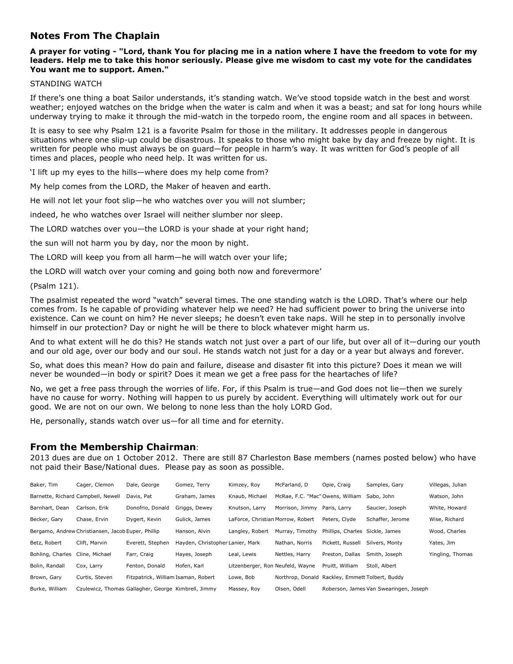# **Notes From The Chaplain**

#### **A prayer for voting - "Lord, thank You for placing me in a nation where I have the freedom to vote for my leaders. Help me to take this honor seriously. Please give me wisdom to cast my vote for the candidates You want me to support. Amen."**

#### STANDING WATCH

If there's one thing a boat Sailor understands, it's standing watch. We've stood topside watch in the best and worst weather; enjoyed watches on the bridge when the water is calm and when it was a beast; and sat for long hours while underway trying to make it through the mid-watch in the torpedo room, the engine room and all spaces in between.

It is easy to see why Psalm 121 is a favorite Psalm for those in the military. It addresses people in dangerous situations where one slip-up could be disastrous. It speaks to those who might bake by day and freeze by night. It is written for people who must always be on guard—for people in harm's way. It was written for God's people of all times and places, people who need help. It was written for us.

'I lift up my eyes to the hills—where does my help come from?

My help comes from the LORD, the Maker of heaven and earth.

He will not let your foot slip—he who watches over you will not slumber;

indeed, he who watches over Israel will neither slumber nor sleep.

The LORD watches over you—the LORD is your shade at your right hand;

the sun will not harm you by day, nor the moon by night.

The LORD will keep you from all harm—he will watch over your life;

the LORD will watch over your coming and going both now and forevermore'

(Psalm 121).

The psalmist repeated the word "watch" several times. The one standing watch is the LORD. That's where our help comes from. Is he capable of providing whatever help we need? He had sufficient power to bring the universe into existence. Can we count on him? He never sleeps; he doesn't even take naps. Will he step in to personally involve himself in our protection? Day or night he will be there to block whatever might harm us.

And to what extent will he do this? He stands watch not just over a part of our life, but over all of it—during our youth and our old age, over our body and our soul. He stands watch not just for a day or a year but always and forever.

So, what does this mean? How do pain and failure, disease and disaster fit into this picture? Does it mean we will never be wounded—in body or spirit? Does it mean we get a free pass for the heartaches of life?

No, we get a free pass through the worries of life. For, if this Psalm is true—and God does not lie—then we surely have no cause for worry. Nothing will happen to us purely by accident. Everything will ultimately work out for our good. We are not on our own. We belong to none less than the holy LORD God.

He, personally, stands watch over us—for all time and for eternity.

#### **From the Membership Chairman**:

2013 dues are due on 1 October 2012. There are still 87 Charleston Base members (names posted below) who have not paid their Base/National dues. Please pay as soon as possible.

| Baker, Tim       | Cager, Clemon                                      | Dale, George                                        | Gomez, Terry                     | Kimzey, Roy                       | McFarland, D                                    | Opie, Craig                     | Samples, Gary                          | Villegas, Julian |
|------------------|----------------------------------------------------|-----------------------------------------------------|----------------------------------|-----------------------------------|-------------------------------------------------|---------------------------------|----------------------------------------|------------------|
|                  | Barnette, Richard Campbell, Newell                 | Davis, Pat                                          | Graham, James                    | Knaub, Michael                    | McRae, F.C. "Mac" Owens, William                |                                 | Sabo, John                             | Watson, John     |
| Barnhart, Dean   | Carlson, Erik                                      | Donofrio, Donald                                    | Griggs, Dewey                    | Knutson, Larry                    | Morrison, Jimmy                                 | Paris, Larry                    | Saucier, Joseph                        | White, Howard    |
| Becker, Gary     | Chase, Ervin                                       | Dygert, Kevin                                       | Gulick, James                    | LaForce, Christian Morrow, Robert |                                                 | Peters, Clyde                   | Schaffer, Jerome                       | Wise, Richard    |
|                  | Bergamo, Andrew Christiansen, Jacob Euper, Phillip |                                                     | Hanson, Alvin                    | Langley, Robert                   | Murray, Timothy                                 | Phillips, Charles Sickle, James |                                        | Wood, Charles    |
| Betz, Robert     | Clift, Marvin                                      | Everett, Stephen                                    | Hayden, Christopher Lanier, Mark |                                   | Nathan, Norris                                  | Pickett, Russell                | Silvers, Monty                         | Yates, Jim       |
| Bohling, Charles | Cline, Michael                                     | Farr, Craig                                         | Hayes, Joseph                    | Leal, Lewis                       | Nettles, Harry                                  | Preston, Dallas                 | Smith, Joseph                          | Yingling, Thomas |
| Bolin, Randall   | Cox, Larry                                         | Fenton, Donald                                      | Hofen, Karl                      | Litzenberger, Ron Neufeld, Wayne  |                                                 | Pruitt, William                 | Stoll, Albert                          |                  |
| Brown, Gary      | Curtis, Steven                                     | Fitzpatrick, William Isaman, Robert                 |                                  | Lowe, Bob                         | Northrop, Donald Rackley, Emmett Tolbert, Buddy |                                 |                                        |                  |
| Burke, William   |                                                    | Czulewicz, Thomas Gallagher, George Kimbrell, Jimmy |                                  | Massey, Roy                       | Olsen, Odell                                    |                                 | Roberson, James Van Swearingen, Joseph |                  |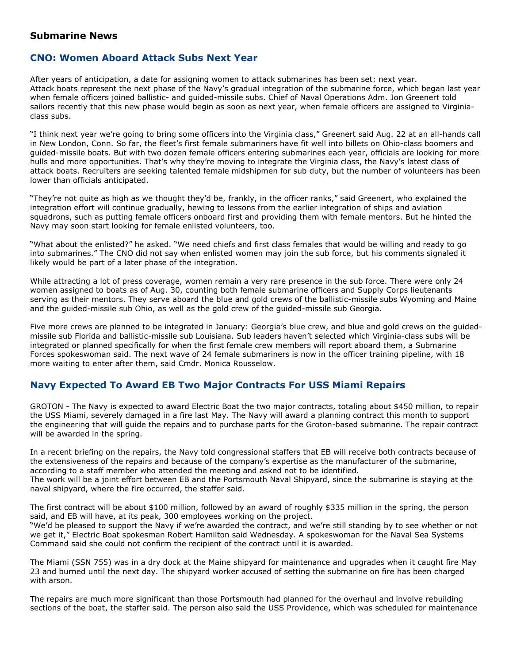#### **Submarine News**

# **CNO: Women Aboard Attack Subs Next Year**

After years of anticipation, a date for assigning women to attack submarines has been set: next year. Attack boats represent the next phase of the Navy's gradual integration of the submarine force, which began last year when female officers joined ballistic- and guided-missile subs. Chief of Naval Operations Adm. Jon Greenert told sailors recently that this new phase would begin as soon as next year, when female officers are assigned to Virginiaclass subs.

"I think next year we're going to bring some officers into the Virginia class," Greenert said Aug. 22 at an all-hands call in New London, Conn. So far, the fleet's first female submariners have fit well into billets on Ohio-class boomers and guided-missile boats. But with two dozen female officers entering submarines each year, officials are looking for more hulls and more opportunities. That's why they're moving to integrate the Virginia class, the Navy's latest class of attack boats. Recruiters are seeking talented female midshipmen for sub duty, but the number of volunteers has been lower than officials anticipated.

"They're not quite as high as we thought they'd be, frankly, in the officer ranks," said Greenert, who explained the integration effort will continue gradually, hewing to lessons from the earlier integration of ships and aviation squadrons, such as putting female officers onboard first and providing them with female mentors. But he hinted the Navy may soon start looking for female enlisted volunteers, too.

"What about the enlisted?" he asked. "We need chiefs and first class females that would be willing and ready to go into submarines." The CNO did not say when enlisted women may join the sub force, but his comments signaled it likely would be part of a later phase of the integration.

While attracting a lot of press coverage, women remain a very rare presence in the sub force. There were only 24 women assigned to boats as of Aug. 30, counting both female submarine officers and Supply Corps lieutenants serving as their mentors. They serve aboard the blue and gold crews of the ballistic-missile subs Wyoming and Maine and the guided-missile sub Ohio, as well as the gold crew of the guided-missile sub Georgia.

Five more crews are planned to be integrated in January: Georgia's blue crew, and blue and gold crews on the guidedmissile sub Florida and ballistic-missile sub Louisiana. Sub leaders haven't selected which Virginia-class subs will be integrated or planned specifically for when the first female crew members will report aboard them, a Submarine Forces spokeswoman said. The next wave of 24 female submariners is now in the officer training pipeline, with 18 more waiting to enter after them, said Cmdr. Monica Rousselow.

#### **Navy Expected To Award EB Two Major Contracts For USS Miami Repairs**

GROTON - The Navy is expected to award Electric Boat the two major contracts, totaling about \$450 million, to repair the USS Miami, severely damaged in a fire last May. The Navy will award a planning contract this month to support the engineering that will guide the repairs and to purchase parts for the Groton-based submarine. The repair contract will be awarded in the spring.

In a recent briefing on the repairs, the Navy told congressional staffers that EB will receive both contracts because of the extensiveness of the repairs and because of the company's expertise as the manufacturer of the submarine, according to a staff member who attended the meeting and asked not to be identified. The work will be a joint effort between EB and the Portsmouth Naval Shipyard, since the submarine is staying at the naval shipyard, where the fire occurred, the staffer said.

The first contract will be about \$100 million, followed by an award of roughly \$335 million in the spring, the person said, and EB will have, at its peak, 300 employees working on the project.

"We'd be pleased to support the Navy if we're awarded the contract, and we're still standing by to see whether or not we get it," Electric Boat spokesman Robert Hamilton said Wednesday. A spokeswoman for the Naval Sea Systems Command said she could not confirm the recipient of the contract until it is awarded.

The Miami (SSN 755) was in a dry dock at the Maine shipyard for maintenance and upgrades when it caught fire May 23 and burned until the next day. The shipyard worker accused of setting the submarine on fire has been charged with arson.

The repairs are much more significant than those Portsmouth had planned for the overhaul and involve rebuilding sections of the boat, the staffer said. The person also said the USS Providence, which was scheduled for maintenance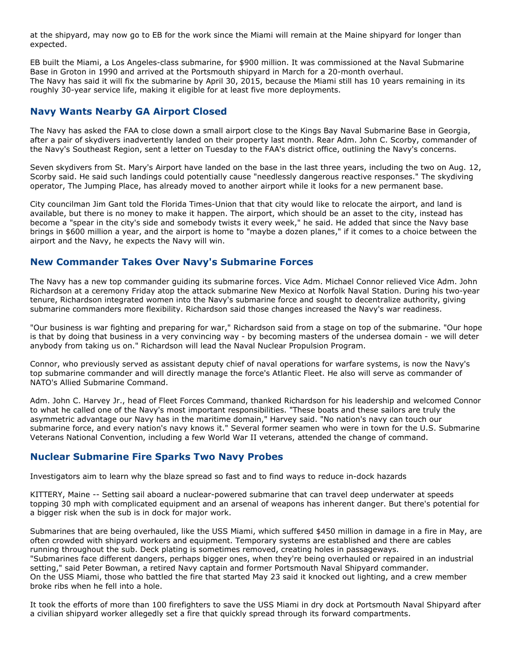at the shipyard, may now go to EB for the work since the Miami will remain at the Maine shipyard for longer than expected.

EB built the Miami, a Los Angeles-class submarine, for \$900 million. It was commissioned at the Naval Submarine Base in Groton in 1990 and arrived at the Portsmouth shipyard in March for a 20-month overhaul. The Navy has said it will fix the submarine by April 30, 2015, because the Miami still has 10 years remaining in its roughly 30-year service life, making it eligible for at least five more deployments.

# **Navy Wants Nearby GA Airport Closed**

The Navy has asked the FAA to close down a small airport close to the Kings Bay Naval Submarine Base in Georgia, after a pair of skydivers inadvertently landed on their property last month. Rear Adm. John C. Scorby, commander of the Navy's Southeast Region, sent a letter on Tuesday to the FAA's district office, outlining the Navy's concerns.

Seven skydivers from St. Mary's Airport have landed on the base in the last three years, including the two on Aug. 12, Scorby said. He said such landings could potentially cause "needlessly dangerous reactive responses." The skydiving operator, The Jumping Place, has already moved to another airport while it looks for a new permanent base.

City councilman Jim Gant told the Florida Times-Union that that city would like to relocate the airport, and land is available, but there is no money to make it happen. The airport, which should be an asset to the city, instead has become a "spear in the city's side and somebody twists it every week," he said. He added that since the Navy base brings in \$600 million a year, and the airport is home to "maybe a dozen planes," if it comes to a choice between the airport and the Navy, he expects the Navy will win.

#### **New Commander Takes Over Navy's Submarine Forces**

The Navy has a new top commander guiding its submarine forces. Vice Adm. Michael Connor relieved Vice Adm. John Richardson at a ceremony Friday atop the attack submarine New Mexico at Norfolk Naval Station. During his two-year tenure, Richardson integrated women into the Navy's submarine force and sought to decentralize authority, giving submarine commanders more flexibility. Richardson said those changes increased the Navy's war readiness.

"Our business is war fighting and preparing for war," Richardson said from a stage on top of the submarine. "Our hope is that by doing that business in a very convincing way - by becoming masters of the undersea domain - we will deter anybody from taking us on." Richardson will lead the Naval Nuclear Propulsion Program.

Connor, who previously served as assistant deputy chief of naval operations for warfare systems, is now the Navy's top submarine commander and will directly manage the force's Atlantic Fleet. He also will serve as commander of NATO's Allied Submarine Command.

Adm. John C. Harvey Jr., head of Fleet Forces Command, thanked Richardson for his leadership and welcomed Connor to what he called one of the Navy's most important responsibilities. "These boats and these sailors are truly the asymmetric advantage our Navy has in the maritime domain," Harvey said. "No nation's navy can touch our submarine force, and every nation's navy knows it." Several former seamen who were in town for the U.S. Submarine Veterans National Convention, including a few World War II veterans, attended the change of command.

# **Nuclear Submarine Fire Sparks Two Navy Probes**

Investigators aim to learn why the blaze spread so fast and to find ways to reduce in-dock hazards

KITTERY, Maine -- Setting sail aboard a nuclear-powered submarine that can travel deep underwater at speeds topping 30 mph with complicated equipment and an arsenal of weapons has inherent danger. But there's potential for a bigger risk when the sub is in dock for major work.

Submarines that are being overhauled, like the USS Miami, which suffered \$450 million in damage in a fire in May, are often crowded with shipyard workers and equipment. Temporary systems are established and there are cables running throughout the sub. Deck plating is sometimes removed, creating holes in passageways. "Submarines face different dangers, perhaps bigger ones, when they're being overhauled or repaired in an industrial setting," said Peter Bowman, a retired Navy captain and former Portsmouth Naval Shipyard commander. On the USS Miami, those who battled the fire that started May 23 said it knocked out lighting, and a crew member broke ribs when he fell into a hole.

It took the efforts of more than 100 firefighters to save the USS Miami in dry dock at Portsmouth Naval Shipyard after a civilian shipyard worker allegedly set a fire that quickly spread through its forward compartments.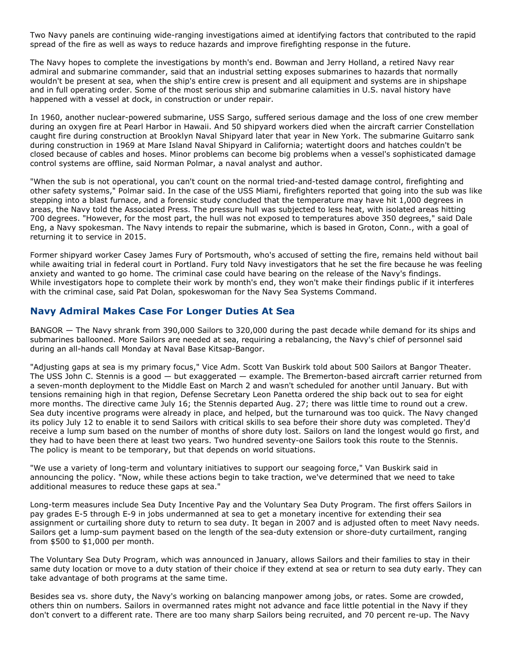Two Navy panels are continuing wide-ranging investigations aimed at identifying factors that contributed to the rapid spread of the fire as well as ways to reduce hazards and improve firefighting response in the future.

The Navy hopes to complete the investigations by month's end. Bowman and Jerry Holland, a retired Navy rear admiral and submarine commander, said that an industrial setting exposes submarines to hazards that normally wouldn't be present at sea, when the ship's entire crew is present and all equipment and systems are in shipshape and in full operating order. Some of the most serious ship and submarine calamities in U.S. naval history have happened with a vessel at dock, in construction or under repair.

In 1960, another nuclear-powered submarine, USS Sargo, suffered serious damage and the loss of one crew member during an oxygen fire at Pearl Harbor in Hawaii. And 50 shipyard workers died when the aircraft carrier Constellation caught fire during construction at Brooklyn Naval Shipyard later that year in New York. The submarine Guitarro sank during construction in 1969 at Mare Island Naval Shipyard in California; watertight doors and hatches couldn't be closed because of cables and hoses. Minor problems can become big problems when a vessel's sophisticated damage control systems are offline, said Norman Polmar, a naval analyst and author.

"When the sub is not operational, you can't count on the normal tried-and-tested damage control, firefighting and other safety systems," Polmar said. In the case of the USS Miami, firefighters reported that going into the sub was like stepping into a blast furnace, and a forensic study concluded that the temperature may have hit 1,000 degrees in areas, the Navy told the Associated Press. The pressure hull was subjected to less heat, with isolated areas hitting 700 degrees. "However, for the most part, the hull was not exposed to temperatures above 350 degrees," said Dale Eng, a Navy spokesman. The Navy intends to repair the submarine, which is based in Groton, Conn., with a goal of returning it to service in 2015.

Former shipyard worker Casey James Fury of Portsmouth, who's accused of setting the fire, remains held without bail while awaiting trial in federal court in Portland. Fury told Navy investigators that he set the fire because he was feeling anxiety and wanted to go home. The criminal case could have bearing on the release of the Navy's findings. While investigators hope to complete their work by month's end, they won't make their findings public if it interferes with the criminal case, said Pat Dolan, spokeswoman for the Navy Sea Systems Command.

#### **Navy Admiral Makes Case For Longer Duties At Sea**

BANGOR — The Navy shrank from 390,000 Sailors to 320,000 during the past decade while demand for its ships and submarines ballooned. More Sailors are needed at sea, requiring a rebalancing, the Navy's chief of personnel said during an all-hands call Monday at Naval Base Kitsap-Bangor.

"Adjusting gaps at sea is my primary focus," Vice Adm. Scott Van Buskirk told about 500 Sailors at Bangor Theater. The USS John C. Stennis is a good — but exaggerated — example. The Bremerton-based aircraft carrier returned from a seven-month deployment to the Middle East on March 2 and wasn't scheduled for another until January. But with tensions remaining high in that region, Defense Secretary Leon Panetta ordered the ship back out to sea for eight more months. The directive came July 16; the Stennis departed Aug. 27; there was little time to round out a crew. Sea duty incentive programs were already in place, and helped, but the turnaround was too quick. The Navy changed its policy July 12 to enable it to send Sailors with critical skills to sea before their shore duty was completed. They'd receive a lump sum based on the number of months of shore duty lost. Sailors on land the longest would go first, and they had to have been there at least two years. Two hundred seventy-one Sailors took this route to the Stennis. The policy is meant to be temporary, but that depends on world situations.

"We use a variety of long-term and voluntary initiatives to support our seagoing force," Van Buskirk said in announcing the policy. "Now, while these actions begin to take traction, we've determined that we need to take additional measures to reduce these gaps at sea."

Long-term measures include Sea Duty Incentive Pay and the Voluntary Sea Duty Program. The first offers Sailors in pay grades E-5 through E-9 in jobs undermanned at sea to get a monetary incentive for extending their sea assignment or curtailing shore duty to return to sea duty. It began in 2007 and is adjusted often to meet Navy needs. Sailors get a lump-sum payment based on the length of the sea-duty extension or shore-duty curtailment, ranging from \$500 to \$1,000 per month.

The Voluntary Sea Duty Program, which was announced in January, allows Sailors and their families to stay in their same duty location or move to a duty station of their choice if they extend at sea or return to sea duty early. They can take advantage of both programs at the same time.

Besides sea vs. shore duty, the Navy's working on balancing manpower among jobs, or rates. Some are crowded, others thin on numbers. Sailors in overmanned rates might not advance and face little potential in the Navy if they don't convert to a different rate. There are too many sharp Sailors being recruited, and 70 percent re-up. The Navy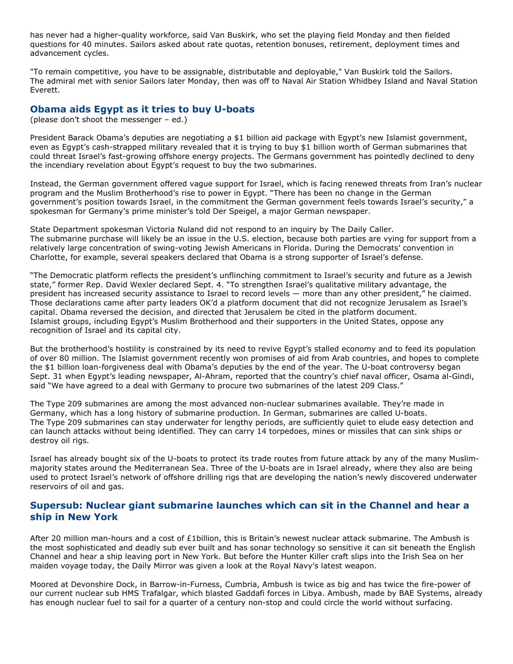has never had a higher-quality workforce, said Van Buskirk, who set the playing field Monday and then fielded questions for 40 minutes. Sailors asked about rate quotas, retention bonuses, retirement, deployment times and advancement cycles.

"To remain competitive, you have to be assignable, distributable and deployable," Van Buskirk told the Sailors. The admiral met with senior Sailors later Monday, then was off to Naval Air Station Whidbey Island and Naval Station Everett.

#### **Obama aids Egypt as it tries to buy U-boats**

(please don't shoot the messenger – ed.)

President Barack Obama's deputies are negotiating a \$1 billion aid package with Egypt's new Islamist government, even as Egypt's cash-strapped military revealed that it is trying to buy \$1 billion worth of German submarines that could threat Israel's fast-growing offshore energy projects. The Germans government has pointedly declined to deny the incendiary revelation about Egypt's request to buy the two submarines.

Instead, the German government offered vague support for Israel, which is facing renewed threats from Iran's nuclear program and the Muslim Brotherhood's rise to power in Egypt. "There has been no change in the German government's position towards Israel, in the commitment the German government feels towards Israel's security," a spokesman for Germany's prime minister's told Der Speigel, a major German newspaper.

State Department spokesman Victoria Nuland did not respond to an inquiry by The Daily Caller. The submarine purchase will likely be an issue in the U.S. election, because both parties are vying for support from a relatively large concentration of swing-voting Jewish Americans in Florida. During the Democrats' convention in Charlotte, for example, several speakers declared that Obama is a strong supporter of Israel's defense.

"The Democratic platform reflects the president's unflinching commitment to Israel's security and future as a Jewish state," former Rep. David Wexler declared Sept. 4. "To strengthen Israel's qualitative military advantage, the president has increased security assistance to Israel to record levels — more than any other president," he claimed. Those declarations came after party leaders OK'd a platform document that did not recognize Jerusalem as Israel's capital. Obama reversed the decision, and directed that Jerusalem be cited in the platform document. Islamist groups, including Egypt's Muslim Brotherhood and their supporters in the United States, oppose any recognition of Israel and its capital city.

But the brotherhood's hostility is constrained by its need to revive Egypt's stalled economy and to feed its population of over 80 million. The Islamist government recently won promises of aid from Arab countries, and hopes to complete the \$1 billion loan-forgiveness deal with Obama's deputies by the end of the year. The U-boat controversy began Sept. 31 when Egypt's leading newspaper, Al-Ahram, reported that the country's chief naval officer, Osama al-Gindi, said "We have agreed to a deal with Germany to procure two submarines of the latest 209 Class."

The Type 209 submarines are among the most advanced non-nuclear submarines available. They're made in Germany, which has a long history of submarine production. In German, submarines are called U-boats. The Type 209 submarines can stay underwater for lengthy periods, are sufficiently quiet to elude easy detection and can launch attacks without being identified. They can carry 14 torpedoes, mines or missiles that can sink ships or destroy oil rigs.

Israel has already bought six of the U-boats to protect its trade routes from future attack by any of the many Muslimmajority states around the Mediterranean Sea. Three of the U-boats are in Israel already, where they also are being used to protect Israel's network of offshore drilling rigs that are developing the nation's newly discovered underwater reservoirs of oil and gas.

#### **Supersub: Nuclear giant submarine launches which can sit in the Channel and hear a ship in New York**

After 20 million man-hours and a cost of £1billion, this is Britain's newest nuclear attack submarine. The Ambush is the most sophisticated and deadly sub ever built and has sonar technology so sensitive it can sit beneath the English Channel and hear a ship leaving port in New York. But before the Hunter Killer craft slips into the Irish Sea on her maiden voyage today, the Daily Mirror was given a look at the Royal Navy's latest weapon.

Moored at Devonshire Dock, in Barrow-in-Furness, Cumbria, Ambush is twice as big and has twice the fire-power of our current nuclear sub HMS Trafalgar, which blasted Gaddafi forces in Libya. Ambush, made by BAE Systems, already has enough nuclear fuel to sail for a quarter of a century non-stop and could circle the world without surfacing.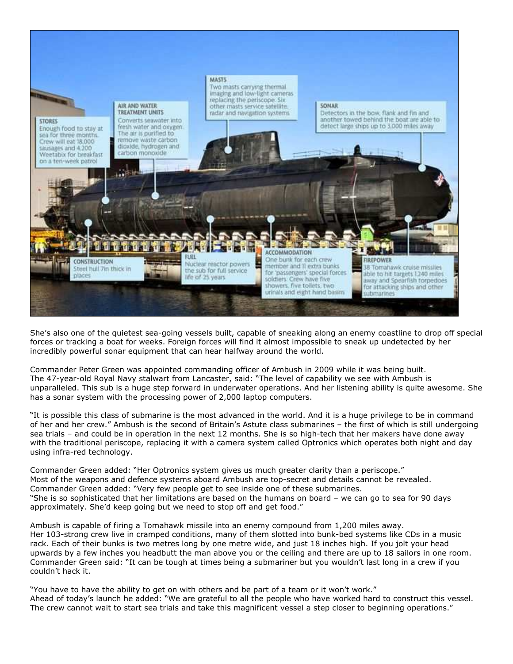

She's also one of the quietest sea-going vessels built, capable of sneaking along an enemy coastline to drop off special forces or tracking a boat for weeks. Foreign forces will find it almost impossible to sneak up undetected by her incredibly powerful sonar equipment that can hear halfway around the world.

Commander Peter Green was appointed commanding officer of Ambush in 2009 while it was being built. The 47-year-old Royal Navy stalwart from Lancaster, said: "The level of capability we see with Ambush is unparalleled. This sub is a huge step forward in underwater operations. And her listening ability is quite awesome. She has a sonar system with the processing power of 2,000 laptop computers.

"It is possible this class of submarine is the most advanced in the world. And it is a huge privilege to be in command of her and her crew." Ambush is the second of Britain's Astute class submarines – the first of which is still undergoing sea trials – and could be in operation in the next 12 months. She is so high-tech that her makers have done away with the traditional periscope, replacing it with a camera system called Optronics which operates both night and day using infra-red technology.

Commander Green added: "Her Optronics system gives us much greater clarity than a periscope." Most of the weapons and defence systems aboard Ambush are top-secret and details cannot be revealed. Commander Green added: "Very few people get to see inside one of these submarines. "She is so sophisticated that her limitations are based on the humans on board – we can go to sea for 90 days approximately. She'd keep going but we need to stop off and get food."

Ambush is capable of firing a Tomahawk missile into an enemy compound from 1,200 miles away. Her 103-strong crew live in cramped conditions, many of them slotted into bunk-bed systems like CDs in a music rack. Each of their bunks is two metres long by one metre wide, and just 18 inches high. If you jolt your head upwards by a few inches you headbutt the man above you or the ceiling and there are up to 18 sailors in one room. Commander Green said: "It can be tough at times being a submariner but you wouldn't last long in a crew if you couldn't hack it.

"You have to have the ability to get on with others and be part of a team or it won't work." Ahead of today's launch he added: "We are grateful to all the people who have worked hard to construct this vessel. The crew cannot wait to start sea trials and take this magnificent vessel a step closer to beginning operations."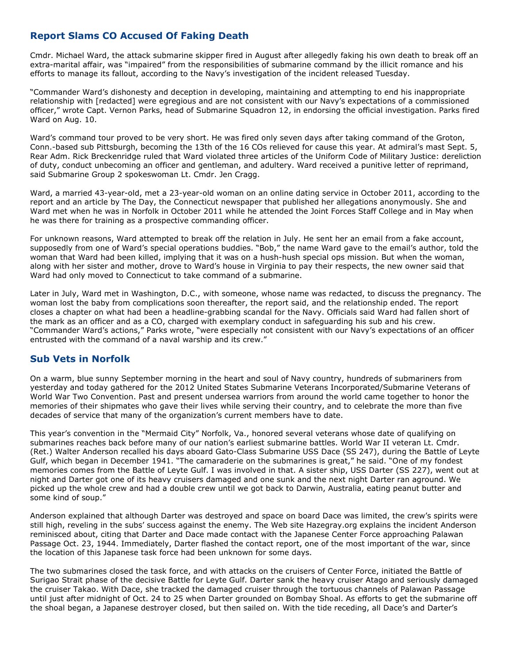# **Report Slams CO Accused Of Faking Death**

Cmdr. Michael Ward, the attack submarine skipper fired in August after allegedly faking his own death to break off an extra-marital affair, was "impaired" from the responsibilities of submarine command by the illicit romance and his efforts to manage its fallout, according to the Navy's investigation of the incident released Tuesday.

"Commander Ward's dishonesty and deception in developing, maintaining and attempting to end his inappropriate relationship with [redacted] were egregious and are not consistent with our Navy's expectations of a commissioned officer," wrote Capt. Vernon Parks, head of Submarine Squadron 12, in endorsing the official investigation. Parks fired Ward on Aug. 10.

Ward's command tour proved to be very short. He was fired only seven days after taking command of the Groton, Conn.-based sub Pittsburgh, becoming the 13th of the 16 COs relieved for cause this year. At admiral's mast Sept. 5, Rear Adm. Rick Breckenridge ruled that Ward violated three articles of the Uniform Code of Military Justice: dereliction of duty, conduct unbecoming an officer and gentleman, and adultery. Ward received a punitive letter of reprimand, said Submarine Group 2 spokeswoman Lt. Cmdr. Jen Cragg.

Ward, a married 43-year-old, met a 23-year-old woman on an online dating service in October 2011, according to the report and an article by The Day, the Connecticut newspaper that published her allegations anonymously. She and Ward met when he was in Norfolk in October 2011 while he attended the Joint Forces Staff College and in May when he was there for training as a prospective commanding officer.

For unknown reasons, Ward attempted to break off the relation in July. He sent her an email from a fake account, supposedly from one of Ward's special operations buddies. "Bob," the name Ward gave to the email's author, told the woman that Ward had been killed, implying that it was on a hush-hush special ops mission. But when the woman, along with her sister and mother, drove to Ward's house in Virginia to pay their respects, the new owner said that Ward had only moved to Connecticut to take command of a submarine.

Later in July, Ward met in Washington, D.C., with someone, whose name was redacted, to discuss the pregnancy. The woman lost the baby from complications soon thereafter, the report said, and the relationship ended. The report closes a chapter on what had been a headline-grabbing scandal for the Navy. Officials said Ward had fallen short of the mark as an officer and as a CO, charged with exemplary conduct in safeguarding his sub and his crew. "Commander Ward's actions," Parks wrote, "were especially not consistent with our Navy's expectations of an officer entrusted with the command of a naval warship and its crew."

# **Sub Vets in Norfolk**

On a warm, blue sunny September morning in the heart and soul of Navy country, hundreds of submariners from yesterday and today gathered for the 2012 United States Submarine Veterans Incorporated/Submarine Veterans of World War Two Convention. Past and present undersea warriors from around the world came together to honor the memories of their shipmates who gave their lives while serving their country, and to celebrate the more than five decades of service that many of the organization's current members have to date.

This year's convention in the "Mermaid City" Norfolk, Va., honored several veterans whose date of qualifying on submarines reaches back before many of our nation's earliest submarine battles. World War II veteran Lt. Cmdr. (Ret.) Walter Anderson recalled his days aboard Gato-Class Submarine USS Dace (SS 247), during the Battle of Leyte Gulf, which began in December 1941. "The camaraderie on the submarines is great," he said. "One of my fondest memories comes from the Battle of Leyte Gulf. I was involved in that. A sister ship, USS Darter (SS 227), went out at night and Darter got one of its heavy cruisers damaged and one sunk and the next night Darter ran aground. We picked up the whole crew and had a double crew until we got back to Darwin, Australia, eating peanut butter and some kind of soup."

Anderson explained that although Darter was destroyed and space on board Dace was limited, the crew's spirits were still high, reveling in the subs' success against the enemy. The Web site Hazegray.org explains the incident Anderson reminisced about, citing that Darter and Dace made contact with the Japanese Center Force approaching Palawan Passage Oct. 23, 1944. Immediately, Darter flashed the contact report, one of the most important of the war, since the location of this Japanese task force had been unknown for some days.

The two submarines closed the task force, and with attacks on the cruisers of Center Force, initiated the Battle of Surigao Strait phase of the decisive Battle for Leyte Gulf. Darter sank the heavy cruiser Atago and seriously damaged the cruiser Takao. With Dace, she tracked the damaged cruiser through the tortuous channels of Palawan Passage until just after midnight of Oct. 24 to 25 when Darter grounded on Bombay Shoal. As efforts to get the submarine off the shoal began, a Japanese destroyer closed, but then sailed on. With the tide receding, all Dace's and Darter's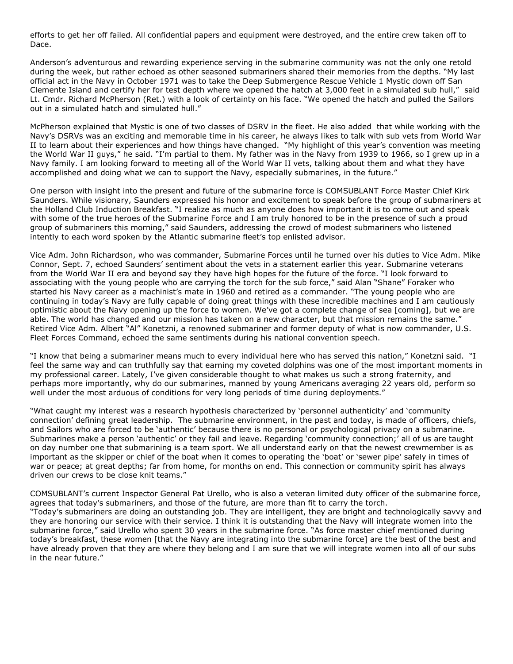efforts to get her off failed. All confidential papers and equipment were destroyed, and the entire crew taken off to Dace.

Anderson's adventurous and rewarding experience serving in the submarine community was not the only one retold during the week, but rather echoed as other seasoned submariners shared their memories from the depths. "My last official act in the Navy in October 1971 was to take the Deep Submergence Rescue Vehicle 1 Mystic down off San Clemente Island and certify her for test depth where we opened the hatch at 3,000 feet in a simulated sub hull," said Lt. Cmdr. Richard McPherson (Ret.) with a look of certainty on his face. "We opened the hatch and pulled the Sailors out in a simulated hatch and simulated hull."

McPherson explained that Mystic is one of two classes of DSRV in the fleet. He also added that while working with the Navy's DSRVs was an exciting and memorable time in his career, he always likes to talk with sub vets from World War II to learn about their experiences and how things have changed. "My highlight of this year's convention was meeting the World War II guys," he said. "I'm partial to them. My father was in the Navy from 1939 to 1966, so I grew up in a Navy family. I am looking forward to meeting all of the World War II vets, talking about them and what they have accomplished and doing what we can to support the Navy, especially submarines, in the future."

One person with insight into the present and future of the submarine force is COMSUBLANT Force Master Chief Kirk Saunders. While visionary, Saunders expressed his honor and excitement to speak before the group of submariners at the Holland Club Induction Breakfast. "I realize as much as anyone does how important it is to come out and speak with some of the true heroes of the Submarine Force and I am truly honored to be in the presence of such a proud group of submariners this morning," said Saunders, addressing the crowd of modest submariners who listened intently to each word spoken by the Atlantic submarine fleet's top enlisted advisor.

Vice Adm. John Richardson, who was commander, Submarine Forces until he turned over his duties to Vice Adm. Mike Connor, Sept. 7, echoed Saunders' sentiment about the vets in a statement earlier this year. Submarine veterans from the World War II era and beyond say they have high hopes for the future of the force. "I look forward to associating with the young people who are carrying the torch for the sub force," said Alan "Shane" Foraker who started his Navy career as a machinist's mate in 1960 and retired as a commander. "The young people who are continuing in today's Navy are fully capable of doing great things with these incredible machines and I am cautiously optimistic about the Navy opening up the force to women. We've got a complete change of sea [coming], but we are able. The world has changed and our mission has taken on a new character, but that mission remains the same." Retired Vice Adm. Albert "Al" Konetzni, a renowned submariner and former deputy of what is now commander, U.S. Fleet Forces Command, echoed the same sentiments during his national convention speech.

"I know that being a submariner means much to every individual here who has served this nation," Konetzni said. "I feel the same way and can truthfully say that earning my coveted dolphins was one of the most important moments in my professional career. Lately, I've given considerable thought to what makes us such a strong fraternity, and perhaps more importantly, why do our submarines, manned by young Americans averaging 22 years old, perform so well under the most arduous of conditions for very long periods of time during deployments."

"What caught my interest was a research hypothesis characterized by 'personnel authenticity' and 'community connection' defining great leadership. The submarine environment, in the past and today, is made of officers, chiefs, and Sailors who are forced to be 'authentic' because there is no personal or psychological privacy on a submarine. Submarines make a person 'authentic' or they fail and leave. Regarding 'community connection;' all of us are taught on day number one that submarining is a team sport. We all understand early on that the newest crewmember is as important as the skipper or chief of the boat when it comes to operating the 'boat' or 'sewer pipe' safely in times of war or peace; at great depths; far from home, for months on end. This connection or community spirit has always driven our crews to be close knit teams."

COMSUBLANT's current Inspector General Pat Urello, who is also a veteran limited duty officer of the submarine force, agrees that today's submariners, and those of the future, are more than fit to carry the torch. "Today's submariners are doing an outstanding job. They are intelligent, they are bright and technologically savvy and they are honoring our service with their service. I think it is outstanding that the Navy will integrate women into the submarine force," said Urello who spent 30 years in the submarine force. "As force master chief mentioned during today's breakfast, these women [that the Navy are integrating into the submarine force] are the best of the best and have already proven that they are where they belong and I am sure that we will integrate women into all of our subs in the near future."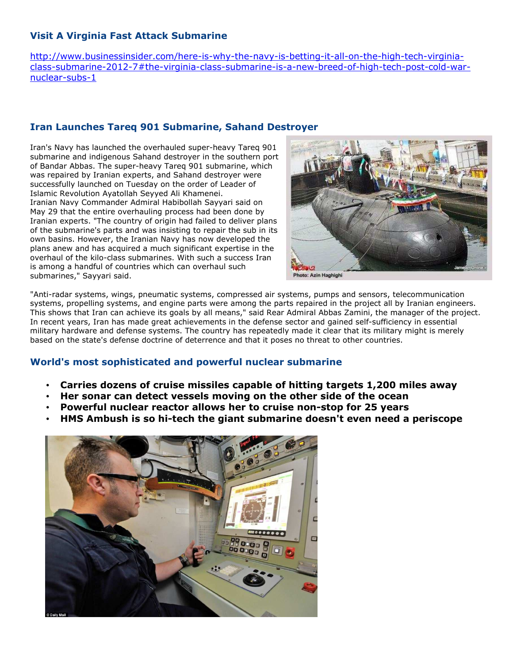# **Visit A Virginia Fast Attack Submarine**

[http://www.businessinsider.com/here-is-why-the-navy-is-betting-it-all-on-the-high-tech-virginia](http://www.businessinsider.com/here-is-why-the-navy-is-betting-it-all-on-the-high-tech-virginia-class-submarine-2012-7#the-virginia-class-submarine-is-a-new-breed-of-high-tech-post-cold-war-nuclear-subs-1)[class-submarine-2012-7#the-virginia-class-submarine-is-a-new-breed-of-high-tech-post-cold-war](http://www.businessinsider.com/here-is-why-the-navy-is-betting-it-all-on-the-high-tech-virginia-class-submarine-2012-7#the-virginia-class-submarine-is-a-new-breed-of-high-tech-post-cold-war-nuclear-subs-1)[nuclear-subs-1](http://www.businessinsider.com/here-is-why-the-navy-is-betting-it-all-on-the-high-tech-virginia-class-submarine-2012-7#the-virginia-class-submarine-is-a-new-breed-of-high-tech-post-cold-war-nuclear-subs-1)

# **Iran Launches Tareq 901 Submarine, Sahand Destroyer**

Iran's Navy has launched the overhauled super-heavy Tareq 901 submarine and indigenous Sahand destroyer in the southern port of Bandar Abbas. The super-heavy Tareq 901 submarine, which was repaired by Iranian experts, and Sahand destroyer were successfully launched on Tuesday on the order of Leader of Islamic Revolution Ayatollah Seyyed Ali Khamenei. Iranian Navy Commander Admiral Habibollah Sayyari said on May 29 that the entire overhauling process had been done by Iranian experts. "The country of origin had failed to deliver plans of the submarine's parts and was insisting to repair the sub in its own basins. However, the Iranian Navy has now developed the plans anew and has acquired a much significant expertise in the overhaul of the kilo-class submarines. With such a success Iran is among a handful of countries which can overhaul such submarines," Sayyari said.



"Anti-radar systems, wings, pneumatic systems, compressed air systems, pumps and sensors, telecommunication systems, propelling systems, and engine parts were among the parts repaired in the project all by Iranian engineers. This shows that Iran can achieve its goals by all means," said Rear Admiral Abbas Zamini, the manager of the project. In recent years, Iran has made great achievements in the defense sector and gained self-sufficiency in essential military hardware and defense systems. The country has repeatedly made it clear that its military might is merely based on the state's defense doctrine of deterrence and that it poses no threat to other countries.

# **World's most sophisticated and powerful nuclear submarine**

- **Carries dozens of cruise missiles capable of hitting targets 1,200 miles away**
- **Her sonar can detect vessels moving on the other side of the ocean**
- **Powerful nuclear reactor allows her to cruise non-stop for 25 years**
- **HMS Ambush is so hi-tech the giant submarine doesn't even need a periscope**

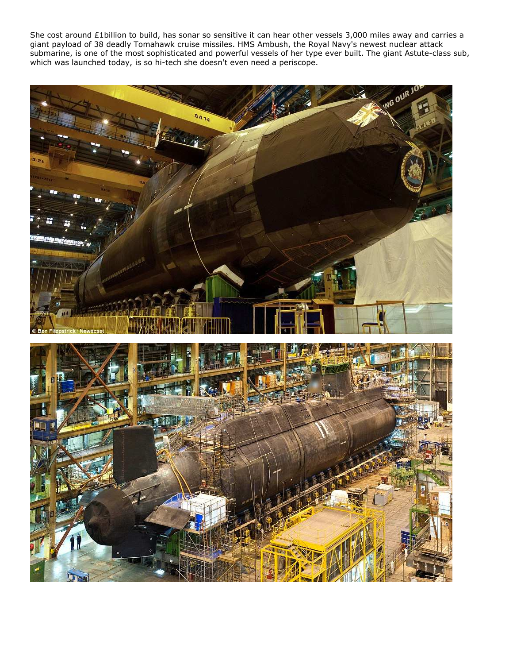She cost around £1billion to build, has sonar so sensitive it can hear other vessels 3,000 miles away and carries a giant payload of 38 deadly Tomahawk cruise missiles. HMS Ambush, the Royal Navy's newest nuclear attack submarine, is one of the most sophisticated and powerful vessels of her type ever built. The giant Astute-class sub, which was launched today, is so hi-tech she doesn't even need a periscope.

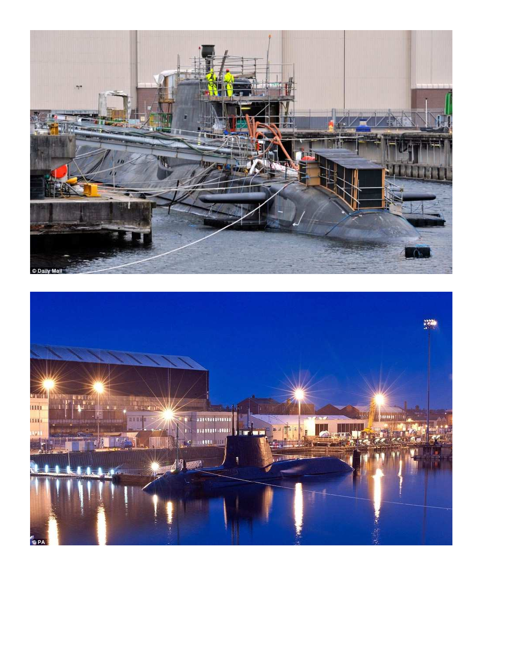

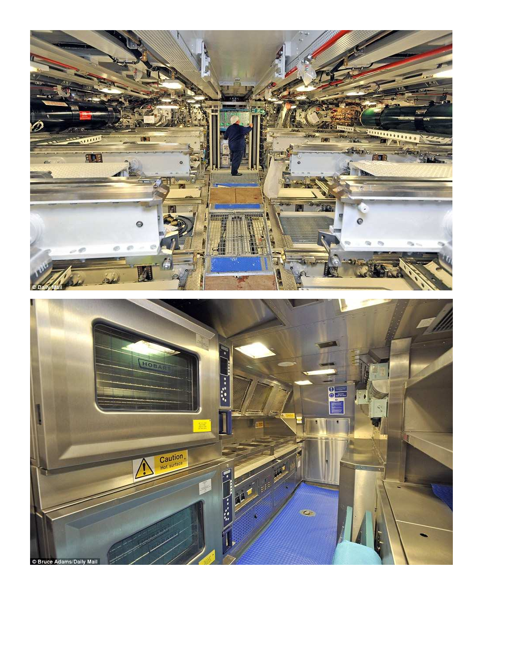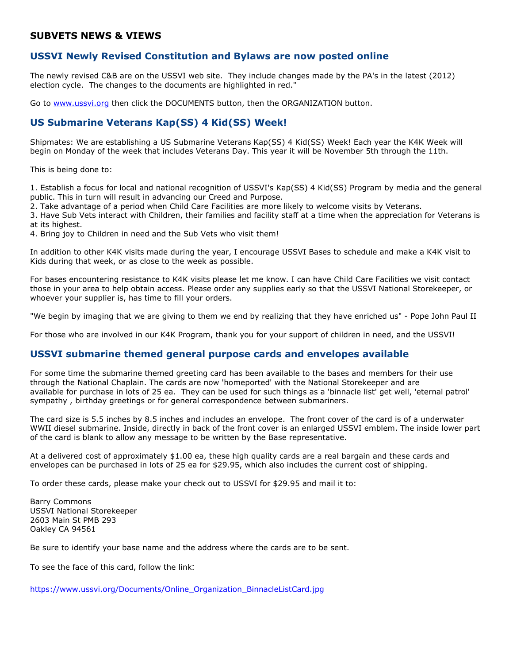#### **SUBVETS NEWS & VIEWS**

#### **USSVI Newly Revised Constitution and Bylaws are now posted online**

The newly revised C&B are on the USSVI web site. They include changes made by the PA's in the latest (2012) election cycle. The changes to the documents are highlighted in red."

Go to [www.ussvi.org t](http://www.ussvi.org/)hen click the DOCUMENTS button, then the ORGANIZATION button.

# **US Submarine Veterans Kap(SS) 4 Kid(SS) Week!**

Shipmates: We are establishing a US Submarine Veterans Kap(SS) 4 Kid(SS) Week! Each year the K4K Week will begin on Monday of the week that includes Veterans Day. This year it will be November 5th through the 11th.

This is being done to:

1. Establish a focus for local and national recognition of USSVI's Kap(SS) 4 Kid(SS) Program by media and the general public. This in turn will result in advancing our Creed and Purpose.

2. Take advantage of a period when Child Care Facilities are more likely to welcome visits by Veterans.

3. Have Sub Vets interact with Children, their families and facility staff at a time when the appreciation for Veterans is at its highest.

4. Bring joy to Children in need and the Sub Vets who visit them!

In addition to other K4K visits made during the year, I encourage USSVI Bases to schedule and make a K4K visit to Kids during that week, or as close to the week as possible.

For bases encountering resistance to K4K visits please let me know. I can have Child Care Facilities we visit contact those in your area to help obtain access. Please order any supplies early so that the USSVI National Storekeeper, or whoever your supplier is, has time to fill your orders.

"We begin by imaging that we are giving to them we end by realizing that they have enriched us" - Pope John Paul II

For those who are involved in our K4K Program, thank you for your support of children in need, and the USSVI!

#### **USSVI submarine themed general purpose cards and envelopes available**

For some time the submarine themed greeting card has been available to the bases and members for their use through the National Chaplain. The cards are now 'homeported' with the National Storekeeper and are available for purchase in lots of 25 ea. They can be used for such things as a 'binnacle list' get well, 'eternal patrol' sympathy , birthday greetings or for general correspondence between submariners.

The card size is 5.5 inches by 8.5 inches and includes an envelope. The front cover of the card is of a underwater WWII diesel submarine. Inside, directly in back of the front cover is an enlarged USSVI emblem. The inside lower part of the card is blank to allow any message to be written by the Base representative.

At a delivered cost of approximately \$1.00 ea, these high quality cards are a real bargain and these cards and envelopes can be purchased in lots of 25 ea for \$29.95, which also includes the current cost of shipping.

To order these cards, please make your check out to USSVI for \$29.95 and mail it to:

Barry Commons USSVI National Storekeeper 2603 Main St PMB 293 Oakley CA 94561

Be sure to identify your base name and the address where the cards are to be sent.

To see the face of this card, follow the link:

[https://www.ussvi.org/Documents/Online\\_Organization\\_BinnacleListCard.jpg](https://www.ussvi.org/Documents/Online_Organization_BinnacleListCard.jpg)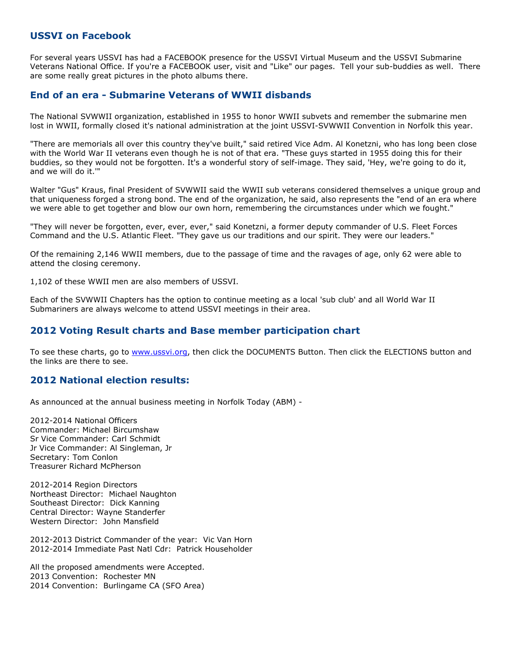#### **USSVI on Facebook**

For several years USSVI has had a FACEBOOK presence for the USSVI Virtual Museum and the USSVI Submarine Veterans National Office. If you're a FACEBOOK user, visit and "Like" our pages. Tell your sub-buddies as well. There are some really great pictures in the photo albums there.

#### **End of an era - Submarine Veterans of WWII disbands**

The National SVWWII organization, established in 1955 to honor WWII subvets and remember the submarine men lost in WWII, formally closed it's national administration at the joint USSVI-SVWWII Convention in Norfolk this year.

"There are memorials all over this country they've built," said retired Vice Adm. Al Konetzni, who has long been close with the World War II veterans even though he is not of that era. "These guys started in 1955 doing this for their buddies, so they would not be forgotten. It's a wonderful story of self-image. They said, 'Hey, we're going to do it, and we will do it.'"

Walter "Gus" Kraus, final President of SVWWII said the WWII sub veterans considered themselves a unique group and that uniqueness forged a strong bond. The end of the organization, he said, also represents the "end of an era where we were able to get together and blow our own horn, remembering the circumstances under which we fought."

"They will never be forgotten, ever, ever, ever," said Konetzni, a former deputy commander of U.S. Fleet Forces Command and the U.S. Atlantic Fleet. "They gave us our traditions and our spirit. They were our leaders."

Of the remaining 2,146 WWII members, due to the passage of time and the ravages of age, only 62 were able to attend the closing ceremony.

1,102 of these WWII men are also members of USSVI.

Each of the SVWWII Chapters has the option to continue meeting as a local 'sub club' and all World War II Submariners are always welcome to attend USSVI meetings in their area.

#### **2012 Voting Result charts and Base member participation chart**

To see these charts, go to [www.ussvi.org,](http://www.ussvi.org/) then click the DOCUMENTS Button. Then click the ELECTIONS button and the links are there to see.

#### **2012 National election results:**

As announced at the annual business meeting in Norfolk Today (ABM) -

2012-2014 National Officers Commander: Michael Bircumshaw Sr Vice Commander: Carl Schmidt Jr Vice Commander: Al Singleman, Jr Secretary: Tom Conlon Treasurer Richard McPherson

2012-2014 Region Directors Northeast Director: Michael Naughton Southeast Director: Dick Kanning Central Director: Wayne Standerfer Western Director: John Mansfield

2012-2013 District Commander of the year: Vic Van Horn 2012-2014 Immediate Past Natl Cdr: Patrick Householder

All the proposed amendments were Accepted. 2013 Convention: Rochester MN 2014 Convention: Burlingame CA (SFO Area)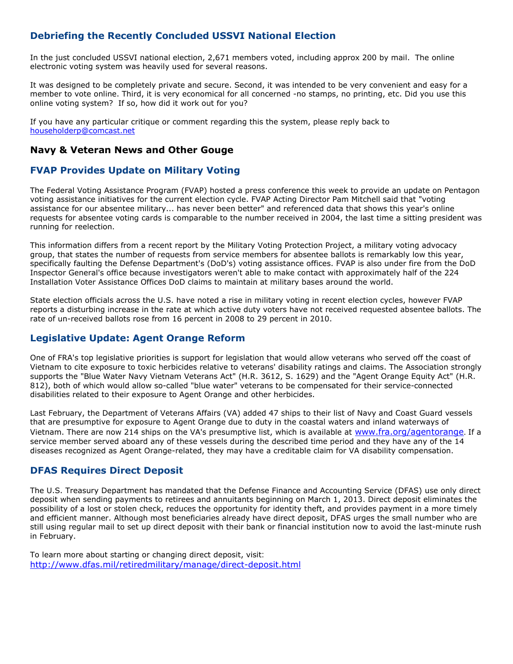# **Debriefing the Recently Concluded USSVI National Election**

In the just concluded USSVI national election, 2,671 members voted, including approx 200 by mail. The online electronic voting system was heavily used for several reasons.

It was designed to be completely private and secure. Second, it was intended to be very convenient and easy for a member to vote online. Third, it is very economical for all concerned -no stamps, no printing, etc. Did you use this online voting system? If so, how did it work out for you?

If you have any particular critique or comment regarding this the system, please reply back to [householderp@comcast.net](mailto:householderp@comcast.net)

#### **Navy & Veteran News and Other Gouge**

# **FVAP Provides Update on Military Voting**

The Federal Voting Assistance Program (FVAP) hosted a press conference this week to provide an update on Pentagon voting assistance initiatives for the current election cycle. FVAP Acting Director Pam Mitchell said that "voting assistance for our absentee military... has never been better" and referenced data that shows this year's online requests for absentee voting cards is comparable to the number received in 2004, the last time a sitting president was running for reelection.

This information differs from a recent report by the Military Voting Protection Project, a military voting advocacy group, that states the number of requests from service members for absentee ballots is remarkably low this year, specifically faulting the Defense Department's (DoD's) voting assistance offices. FVAP is also under fire from the DoD Inspector General's office because investigators weren't able to make contact with approximately half of the 224 Installation Voter Assistance Offices DoD claims to maintain at military bases around the world.

State election officials across the U.S. have noted a rise in military voting in recent election cycles, however FVAP reports a disturbing increase in the rate at which active duty voters have not received requested absentee ballots. The rate of un-received ballots rose from 16 percent in 2008 to 29 percent in 2010.

#### **Legislative Update: Agent Orange Reform**

One of FRA's top legislative priorities is support for legislation that would allow veterans who served off the coast of Vietnam to cite exposure to toxic herbicides relative to veterans' disability ratings and claims. The Association strongly supports the "Blue Water Navy Vietnam Veterans Act" (H.R. 3612, S. 1629) and the "Agent Orange Equity Act" (H.R. 812), both of which would allow so-called "blue water" veterans to be compensated for their service-connected disabilities related to their exposure to Agent Orange and other herbicides.

Last February, the Department of Veterans Affairs (VA) added 47 ships to their list of Navy and Coast Guard vessels that are presumptive for exposure to Agent Orange due to duty in the coastal waters and inland waterways of Vietnam. There are now 214 ships on the VA's presumptive list, which is available at [www.fra.org/agentorange](http://www.fra.org/agentorange). If a service member served aboard any of these vessels during the described time period and they have any of the 14 diseases recognized as Agent Orange-related, they may have a creditable claim for VA disability compensation.

# **DFAS Requires Direct Deposit**

The U.S. Treasury Department has mandated that the Defense Finance and Accounting Service (DFAS) use only direct deposit when sending payments to retirees and annuitants beginning on March 1, 2013. Direct deposit eliminates the possibility of a lost or stolen check, reduces the opportunity for identity theft, and provides payment in a more timely and efficient manner. Although most beneficiaries already have direct deposit, DFAS urges the small number who are still using regular mail to set up direct deposit with their bank or financial institution now to avoid the last-minute rush in February.

To learn more about starting or changing direct deposit, visit: <http://www.dfas.mil/retiredmilitary/manage/direct-deposit.html>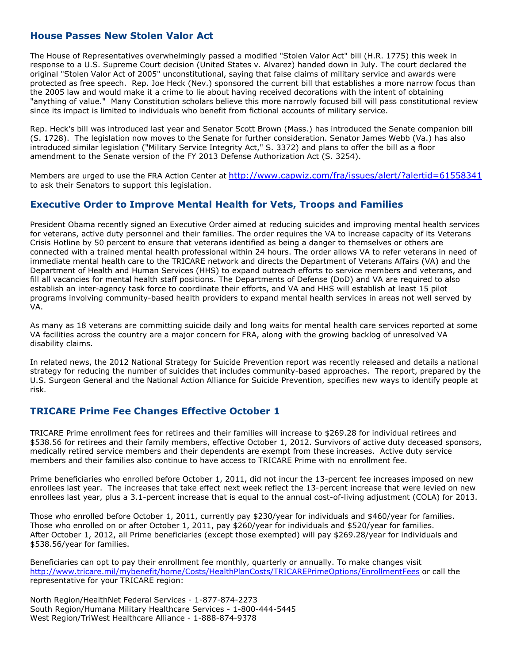# **House Passes New Stolen Valor Act**

The House of Representatives overwhelmingly passed a modified "Stolen Valor Act" bill (H.R. 1775) this week in response to a U.S. Supreme Court decision (United States v. Alvarez) handed down in July. The court declared the original "Stolen Valor Act of 2005" unconstitutional, saying that false claims of military service and awards were protected as free speech. Rep. Joe Heck (Nev.) sponsored the current bill that establishes a more narrow focus than the 2005 law and would make it a crime to lie about having received decorations with the intent of obtaining "anything of value." Many Constitution scholars believe this more narrowly focused bill will pass constitutional review since its impact is limited to individuals who benefit from fictional accounts of military service.

Rep. Heck's bill was introduced last year and Senator Scott Brown (Mass.) has introduced the Senate companion bill (S. 1728). The legislation now moves to the Senate for further consideration. Senator James Webb (Va.) has also introduced similar legislation ("Military Service Integrity Act," S. 3372) and plans to offer the bill as a floor amendment to the Senate version of the FY 2013 Defense Authorization Act (S. 3254).

Members are urged to use the FRA Action Center at <http://www.capwiz.com/fra/issues/alert/?alertid=61558341> to ask their Senators to support this legislation.

#### **Executive Order to Improve Mental Health for Vets, Troops and Families**

President Obama recently signed an Executive Order aimed at reducing suicides and improving mental health services for veterans, active duty personnel and their families. The order requires the VA to increase capacity of its Veterans Crisis Hotline by 50 percent to ensure that veterans identified as being a danger to themselves or others are connected with a trained mental health professional within 24 hours. The order allows VA to refer veterans in need of immediate mental health care to the TRICARE network and directs the Department of Veterans Affairs (VA) and the Department of Health and Human Services (HHS) to expand outreach efforts to service members and veterans, and fill all vacancies for mental health staff positions. The Departments of Defense (DoD) and VA are required to also establish an inter-agency task force to coordinate their efforts, and VA and HHS will establish at least 15 pilot programs involving community-based health providers to expand mental health services in areas not well served by VA.

As many as 18 veterans are committing suicide daily and long waits for mental health care services reported at some VA facilities across the country are a major concern for FRA, along with the growing backlog of unresolved VA disability claims.

In related news, the 2012 National Strategy for Suicide Prevention report was recently released and details a national strategy for reducing the number of suicides that includes community-based approaches. The report, prepared by the U.S. Surgeon General and the National Action Alliance for Suicide Prevention, specifies new ways to identify people at risk.

#### **TRICARE Prime Fee Changes Effective October 1**

TRICARE Prime enrollment fees for retirees and their families will increase to \$269.28 for individual retirees and \$538.56 for retirees and their family members, effective October 1, 2012. Survivors of active duty deceased sponsors, medically retired service members and their dependents are exempt from these increases. Active duty service members and their families also continue to have access to TRICARE Prime with no enrollment fee.

Prime beneficiaries who enrolled before October 1, 2011, did not incur the 13-percent fee increases imposed on new enrollees last year. The increases that take effect next week reflect the 13-percent increase that were levied on new enrollees last year, plus a 3.1-percent increase that is equal to the annual cost-of-living adjustment (COLA) for 2013.

Those who enrolled before October 1, 2011, currently pay \$230/year for individuals and \$460/year for families. Those who enrolled on or after October 1, 2011, pay \$260/year for individuals and \$520/year for families. After October 1, 2012, all Prime beneficiaries (except those exempted) will pay \$269.28/year for individuals and \$538.56/year for families.

Beneficiaries can opt to pay their enrollment fee monthly, quarterly or annually. To make changes visit <http://www.tricare.mil/mybenefit/home/Costs/HealthPlanCosts/TRICAREPrimeOptions/EnrollmentFees> or call the representative for your TRICARE region:

North Region/HealthNet Federal Services - 1-877-874-2273 South Region/Humana Military Healthcare Services - 1-800-444-5445 West Region/TriWest Healthcare Alliance - 1-888-874-9378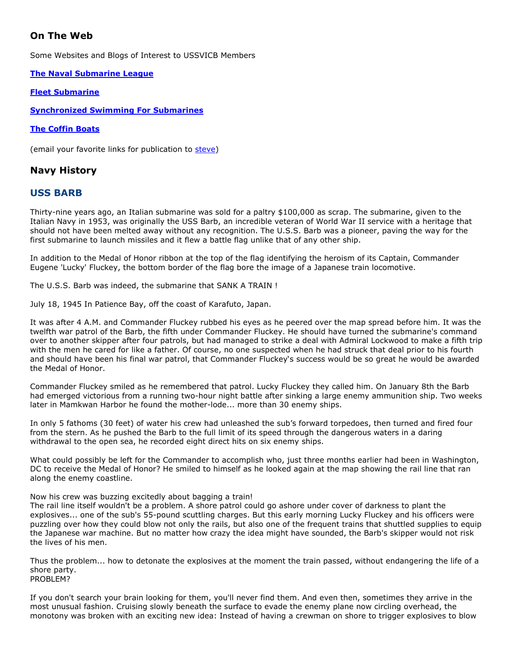# **On The Web**

Some Websites and Blogs of Interest to USSVICB Members

**[The Naval Submarine League](http://www.navalsubleague.com/NSL/default.aspx)**

**[Fleet Submarine](http://www.fleetsubmarine.com/sublinks.html)**

**[Synchronized Swimming For Submarines](http://www.isr.umd.edu/news/news_story.php?id=4856)**

#### **[The Coffin Boats](http://wgordon.web.wesleyan.edu/kamikaze/books/general/midgetsubs/index.htm)**

(email your favorite links for publication to [steve\)](mailto:steven.morawiec@comcast.net)

# **Navy History**

#### **USS BARB**

Thirty-nine years ago, an Italian submarine was sold for a paltry \$100,000 as scrap. The submarine, given to the Italian Navy in 1953, was originally the USS Barb, an incredible veteran of World War II service with a heritage that should not have been melted away without any recognition. The U.S.S. Barb was a pioneer, paving the way for the first submarine to launch missiles and it flew a battle flag unlike that of any other ship.

In addition to the Medal of Honor ribbon at the top of the flag identifying the heroism of its Captain, Commander Eugene 'Lucky' Fluckey, the bottom border of the flag bore the image of a Japanese train locomotive.

The U.S.S. Barb was indeed, the submarine that SANK A TRAIN !

July 18, 1945 In Patience Bay, off the coast of Karafuto, Japan.

It was after 4 A.M. and Commander Fluckey rubbed his eyes as he peered over the map spread before him. It was the twelfth war patrol of the Barb, the fifth under Commander Fluckey. He should have turned the submarine's command over to another skipper after four patrols, but had managed to strike a deal with Admiral Lockwood to make a fifth trip with the men he cared for like a father. Of course, no one suspected when he had struck that deal prior to his fourth and should have been his final war patrol, that Commander Fluckey's success would be so great he would be awarded the Medal of Honor.

Commander Fluckey smiled as he remembered that patrol. Lucky Fluckey they called him. On January 8th the Barb had emerged victorious from a running two-hour night battle after sinking a large enemy ammunition ship. Two weeks later in Mamkwan Harbor he found the mother-lode... more than 30 enemy ships.

In only 5 fathoms (30 feet) of water his crew had unleashed the sub's forward torpedoes, then turned and fired four from the stern. As he pushed the Barb to the full limit of its speed through the dangerous waters in a daring withdrawal to the open sea, he recorded eight direct hits on six enemy ships.

What could possibly be left for the Commander to accomplish who, just three months earlier had been in Washington, DC to receive the Medal of Honor? He smiled to himself as he looked again at the map showing the rail line that ran along the enemy coastline.

Now his crew was buzzing excitedly about bagging a train!

The rail line itself wouldn't be a problem. A shore patrol could go ashore under cover of darkness to plant the explosives... one of the sub's 55-pound scuttling charges. But this early morning Lucky Fluckey and his officers were puzzling over how they could blow not only the rails, but also one of the frequent trains that shuttled supplies to equip the Japanese war machine. But no matter how crazy the idea might have sounded, the Barb's skipper would not risk the lives of his men.

Thus the problem... how to detonate the explosives at the moment the train passed, without endangering the life of a shore party. PROBLEM?

If you don't search your brain looking for them, you'll never find them. And even then, sometimes they arrive in the most unusual fashion. Cruising slowly beneath the surface to evade the enemy plane now circling overhead, the monotony was broken with an exciting new idea: Instead of having a crewman on shore to trigger explosives to blow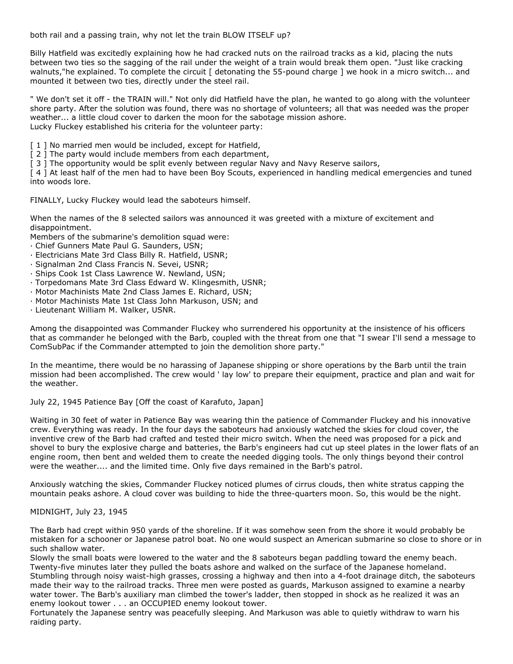both rail and a passing train, why not let the train BLOW ITSELF up?

Billy Hatfield was excitedly explaining how he had cracked nuts on the railroad tracks as a kid, placing the nuts between two ties so the sagging of the rail under the weight of a train would break them open. "Just like cracking walnuts,"he explained. To complete the circuit [ detonating the 55-pound charge ] we hook in a micro switch... and mounted it between two ties, directly under the steel rail.

" We don't set it off - the TRAIN will." Not only did Hatfield have the plan, he wanted to go along with the volunteer shore party. After the solution was found, there was no shortage of volunteers; all that was needed was the proper weather... a little cloud cover to darken the moon for the sabotage mission ashore. Lucky Fluckey established his criteria for the volunteer party:

- [ 1 ] No married men would be included, except for Hatfield,
- [ 2 ] The party would include members from each department,
- [ 3 ] The opportunity would be split evenly between regular Navy and Navy Reserve sailors,

[4] At least half of the men had to have been Boy Scouts, experienced in handling medical emergencies and tuned into woods lore.

FINALLY, Lucky Fluckey would lead the saboteurs himself.

When the names of the 8 selected sailors was announced it was greeted with a mixture of excitement and disappointment.

Members of the submarine's demolition squad were:

- · Chief Gunners Mate Paul G. Saunders, USN;
- · Electricians Mate 3rd Class Billy R. Hatfield, USNR;
- · Signalman 2nd Class Francis N. Sevei, USNR;
- · Ships Cook 1st Class Lawrence W. Newland, USN;
- · Torpedomans Mate 3rd Class Edward W. Klingesmith, USNR;
- · Motor Machinists Mate 2nd Class James E. Richard, USN;
- · Motor Machinists Mate 1st Class John Markuson, USN; and
- · Lieutenant William M. Walker, USNR.

Among the disappointed was Commander Fluckey who surrendered his opportunity at the insistence of his officers that as commander he belonged with the Barb, coupled with the threat from one that "I swear I'll send a message to ComSubPac if the Commander attempted to join the demolition shore party."

In the meantime, there would be no harassing of Japanese shipping or shore operations by the Barb until the train mission had been accomplished. The crew would ' lay low' to prepare their equipment, practice and plan and wait for the weather.

July 22, 1945 Patience Bay [Off the coast of Karafuto, Japan]

Waiting in 30 feet of water in Patience Bay was wearing thin the patience of Commander Fluckey and his innovative crew. Everything was ready. In the four days the saboteurs had anxiously watched the skies for cloud cover, the inventive crew of the Barb had crafted and tested their micro switch. When the need was proposed for a pick and shovel to bury the explosive charge and batteries, the Barb's engineers had cut up steel plates in the lower flats of an engine room, then bent and welded them to create the needed digging tools. The only things beyond their control were the weather.... and the limited time. Only five days remained in the Barb's patrol.

Anxiously watching the skies, Commander Fluckey noticed plumes of cirrus clouds, then white stratus capping the mountain peaks ashore. A cloud cover was building to hide the three-quarters moon. So, this would be the night.

#### MIDNIGHT, July 23, 1945

The Barb had crept within 950 yards of the shoreline. If it was somehow seen from the shore it would probably be mistaken for a schooner or Japanese patrol boat. No one would suspect an American submarine so close to shore or in such shallow water.

Slowly the small boats were lowered to the water and the 8 saboteurs began paddling toward the enemy beach. Twenty-five minutes later they pulled the boats ashore and walked on the surface of the Japanese homeland. Stumbling through noisy waist-high grasses, crossing a highway and then into a 4-foot drainage ditch, the saboteurs made their way to the railroad tracks. Three men were posted as guards, Markuson assigned to examine a nearby water tower. The Barb's auxiliary man climbed the tower's ladder, then stopped in shock as he realized it was an enemy lookout tower . . . an OCCUPIED enemy lookout tower.

Fortunately the Japanese sentry was peacefully sleeping. And Markuson was able to quietly withdraw to warn his raiding party.